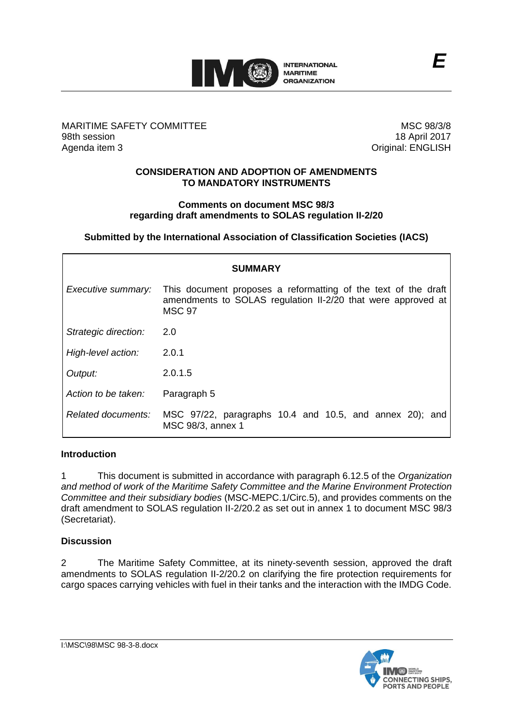

# MARITIME SAFETY COMMITTEE 98th session Agenda item 3

MSC 98/3/8 18 April 2017 Original: ENGLISH

## **CONSIDERATION AND ADOPTION OF AMENDMENTS TO MANDATORY INSTRUMENTS**

#### **Comments on document MSC 98/3 regarding draft amendments to SOLAS regulation II-2/20**

**Submitted by the International Association of Classification Societies (IACS)**

| <b>SUMMARY</b>       |                                                                                                                                                 |
|----------------------|-------------------------------------------------------------------------------------------------------------------------------------------------|
| Executive summary:   | This document proposes a reformatting of the text of the draft<br>amendments to SOLAS regulation II-2/20 that were approved at<br><b>MSC 97</b> |
| Strategic direction: | 2.0                                                                                                                                             |
| High-level action:   | 2.0.1                                                                                                                                           |
| Output:              | 2.0.1.5                                                                                                                                         |
| Action to be taken:  | Paragraph 5                                                                                                                                     |
| Related documents:   | MSC 97/22, paragraphs 10.4 and 10.5, and annex 20); and<br>MSC 98/3, annex 1                                                                    |

# **Introduction**

1 This document is submitted in accordance with paragraph 6.12.5 of the *Organization and method of work of the Maritime Safety Committee and the Marine Environment Protection Committee and their subsidiary bodies* (MSC-MEPC.1/Circ.5), and provides comments on the draft amendment to SOLAS regulation II-2/20.2 as set out in annex 1 to document MSC 98/3 (Secretariat).

# **Discussion**

2 The Maritime Safety Committee, at its ninety-seventh session, approved the draft amendments to SOLAS regulation II-2/20.2 on clarifying the fire protection requirements for cargo spaces carrying vehicles with fuel in their tanks and the interaction with the IMDG Code.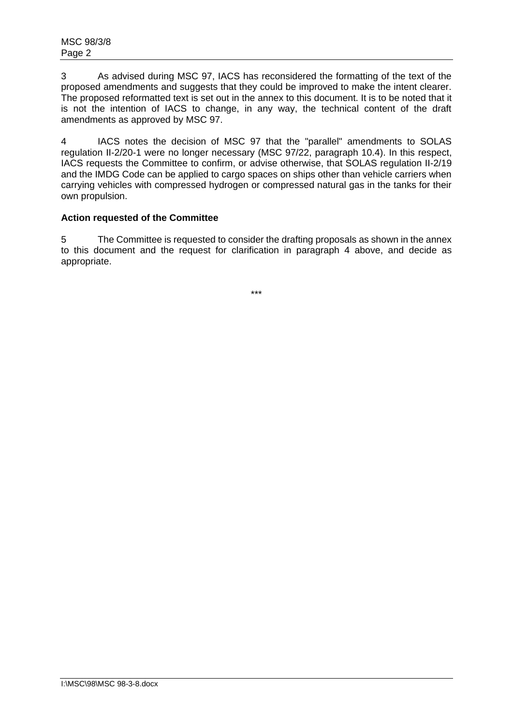3 As advised during MSC 97, IACS has reconsidered the formatting of the text of the proposed amendments and suggests that they could be improved to make the intent clearer. The proposed reformatted text is set out in the annex to this document. It is to be noted that it is not the intention of IACS to change, in any way, the technical content of the draft amendments as approved by MSC 97.

4 IACS notes the decision of MSC 97 that the "parallel" amendments to SOLAS regulation II-2/20-1 were no longer necessary (MSC 97/22, paragraph 10.4). In this respect, IACS requests the Committee to confirm, or advise otherwise, that SOLAS regulation II-2/19 and the IMDG Code can be applied to cargo spaces on ships other than vehicle carriers when carrying vehicles with compressed hydrogen or compressed natural gas in the tanks for their own propulsion.

# **Action requested of the Committee**

5 The Committee is requested to consider the drafting proposals as shown in the annex to this document and the request for clarification in paragraph 4 above, and decide as appropriate.

\*\*\*